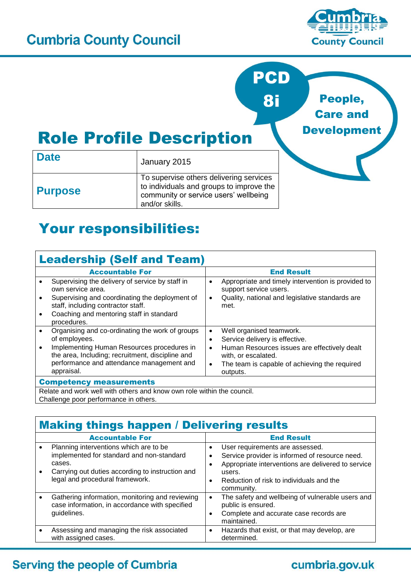

Care and

# PCD 8i People, Development

## Role Profile Description

| <b>Date</b>    | January 2015                                                                                                                                   |
|----------------|------------------------------------------------------------------------------------------------------------------------------------------------|
| <b>Purpose</b> | To supervise others delivering services<br>to individuals and groups to improve the<br>community or service users' wellbeing<br>and/or skills. |

## Your responsibilities:

| <b>Leadership (Self and Team)</b>                                                                               |                                                                                           |  |
|-----------------------------------------------------------------------------------------------------------------|-------------------------------------------------------------------------------------------|--|
| <b>Accountable For</b>                                                                                          | <b>End Result</b>                                                                         |  |
| Supervising the delivery of service by staff in<br>own service area.                                            | Appropriate and timely intervention is provided to<br>$\bullet$<br>support service users. |  |
| Supervising and coordinating the deployment of<br>staff, including contractor staff.                            | Quality, national and legislative standards are<br>$\bullet$<br>met.                      |  |
| Coaching and mentoring staff in standard<br>procedures.                                                         |                                                                                           |  |
| Organising and co-ordinating the work of groups<br>of employees.                                                | Well organised teamwork.<br>$\bullet$<br>Service delivery is effective.<br>$\bullet$      |  |
| Implementing Human Resources procedures in<br>the area, Including; recruitment, discipline and                  | Human Resources issues are effectively dealt<br>$\bullet$<br>with, or escalated.          |  |
| performance and attendance management and<br>appraisal.                                                         | The team is capable of achieving the required<br>$\bullet$<br>outputs.                    |  |
| <b>Competency measurements</b>                                                                                  |                                                                                           |  |
| Relate and work well with others and know own role within the council.<br>Challenge poor performance in others. |                                                                                           |  |

#### Making things happen / Delivering results

| <b>Accountable For</b>                                                                                                                                                               |                                  | <b>End Result</b>                                                                                                                                                                                           |
|--------------------------------------------------------------------------------------------------------------------------------------------------------------------------------------|----------------------------------|-------------------------------------------------------------------------------------------------------------------------------------------------------------------------------------------------------------|
| Planning interventions which are to be<br>implemented for standard and non-standard<br>cases.<br>Carrying out duties according to instruction and<br>legal and procedural framework. | $\bullet$<br>٠<br>٠<br>$\bullet$ | User requirements are assessed.<br>Service provider is informed of resource need.<br>Appropriate interventions are delivered to service<br>users.<br>Reduction of risk to individuals and the<br>community. |
| Gathering information, monitoring and reviewing<br>case information, in accordance with specified<br>guidelines.                                                                     | $\bullet$<br>$\bullet$           | The safety and wellbeing of vulnerable users and<br>public is ensured.<br>Complete and accurate case records are<br>maintained.                                                                             |
| Assessing and managing the risk associated<br>with assigned cases.                                                                                                                   | $\bullet$                        | Hazards that exist, or that may develop, are<br>determined.                                                                                                                                                 |

### **Serving the people of Cumbria**

### cumbria.gov.uk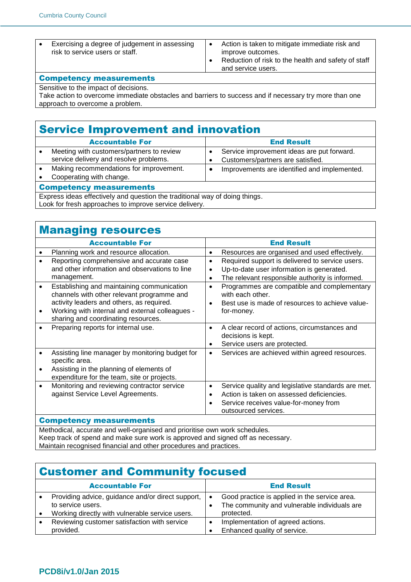- Exercising a degree of judgement in assessing risk to service users or staff.
- Action is taken to mitigate immediate risk and improve outcomes.
- Reduction of risk to the health and safety of staff and service users.

#### Competency measurements

Sensitive to the impact of decisions.

Take action to overcome immediate obstacles and barriers to success and if necessary try more than one approach to overcome a problem.

#### Service Improvement and innovation

|                                                                            | <b>Accountable For</b>                                                              |  | <b>End Result</b>                                                               |
|----------------------------------------------------------------------------|-------------------------------------------------------------------------------------|--|---------------------------------------------------------------------------------|
|                                                                            | Meeting with customers/partners to review<br>service delivery and resolve problems. |  | Service improvement ideas are put forward.<br>Customers/partners are satisfied. |
|                                                                            | Making recommendations for improvement.<br>Cooperating with change.                 |  | Improvements are identified and implemented.                                    |
| <b>Competency measurements</b>                                             |                                                                                     |  |                                                                                 |
| Express ideas effectively and question the traditional way of doing things |                                                                                     |  |                                                                                 |

is ideas effectively and question the traditional way of doing things. Look for fresh approaches to improve service delivery.

#### Managing resources Accountable For **End Result** Planning work and resource allocation.  $\cdot$  Resources are organised and used effectively. Reporting comprehensive and accurate case and other information and observations to line management. • Required support is delivered to service users. Up-to-date user information is generated. The relevant responsible authority is informed. Establishing and maintaining communication channels with other relevant programme and activity leaders and others, as required. Working with internal and external colleagues sharing and coordinating resources. Programmes are compatible and complementary with each other. • Best use is made of resources to achieve valuefor-money. Preparing reports for internal use.  $\parallel \bullet \quad A$  clear record of actions, circumstances and decisions is kept. Service users are protected. Assisting line manager by monitoring budget for specific area. Assisting in the planning of elements of expenditure for the team, site or projects. Services are achieved within agreed resources. Monitoring and reviewing contractor service against Service Level Agreements. Service quality and legislative standards are met. Action is taken on assessed deficiencies. Service receives value-for-money from outsourced services. Competency measurements

Methodical, accurate and well-organised and prioritise own work schedules. Keep track of spend and make sure work is approved and signed off as necessary. Maintain recognised financial and other procedures and practices.

#### Customer and Community focused

| <b>Accountable For</b>                                | <b>End Result</b>                             |
|-------------------------------------------------------|-----------------------------------------------|
| Providing advice, guidance and/or direct support,   • | Good practice is applied in the service area. |
| to service users.                                     | The community and vulnerable individuals are  |
| Working directly with vulnerable service users.       | protected.                                    |
| Reviewing customer satisfaction with service          | Implementation of agreed actions.             |
| provided.                                             | Enhanced quality of service.                  |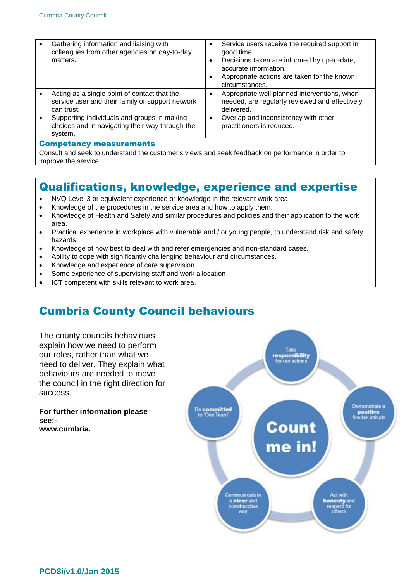| Gathering information and liaising with<br>colleagues from other agencies on day-to-day<br>matters.                                                                                                                         | $\bullet$<br>٠ | Service users receive the required support in<br>good time.<br>Decisions taken are informed by up-to-date,<br>accurate information.<br>Appropriate actions are taken for the known<br>circumstances. |
|-----------------------------------------------------------------------------------------------------------------------------------------------------------------------------------------------------------------------------|----------------|------------------------------------------------------------------------------------------------------------------------------------------------------------------------------------------------------|
| Acting as a single point of contact that the<br>service user and their family or support network<br>can trust.<br>Supporting individuals and groups in making<br>choices and in navigating their way through the<br>system. | ٠<br>٠         | Appropriate well planned interventions, when<br>needed, are regularly reviewed and effectively<br>delivered.<br>Overlap and inconsistency with other<br>practitioners is reduced.                    |
| <b>Competency measurements</b><br>$\sim$ $\sim$<br>the contract of the contract of the contract of the contract of the contract of the contract of the contract of<br>$\epsilon$                                            |                |                                                                                                                                                                                                      |

Consult and seek to understand the customer's views and seek feedback on performance in order to improve the service.

#### Qualifications, knowledge, experience and expertise

- NVQ Level 3 or equivalent experience or knowledge in the relevant work area.
- Knowledge of the procedures in the service area and how to apply them.
- Knowledge of Health and Safety and similar procedures and policies and their application to the work area.
- Practical experience in workplace with vulnerable and / or young people, to understand risk and safety hazards.
- Knowledge of how best to deal with and refer emergencies and non-standard cases.
- Ability to cope with significantly challenging behaviour and circumstances.
- Knowledge and experience of care supervision.
- Some experience of supervising staff and work allocation
- ICT competent with skills relevant to work area.

#### Cumbria County Council behaviours